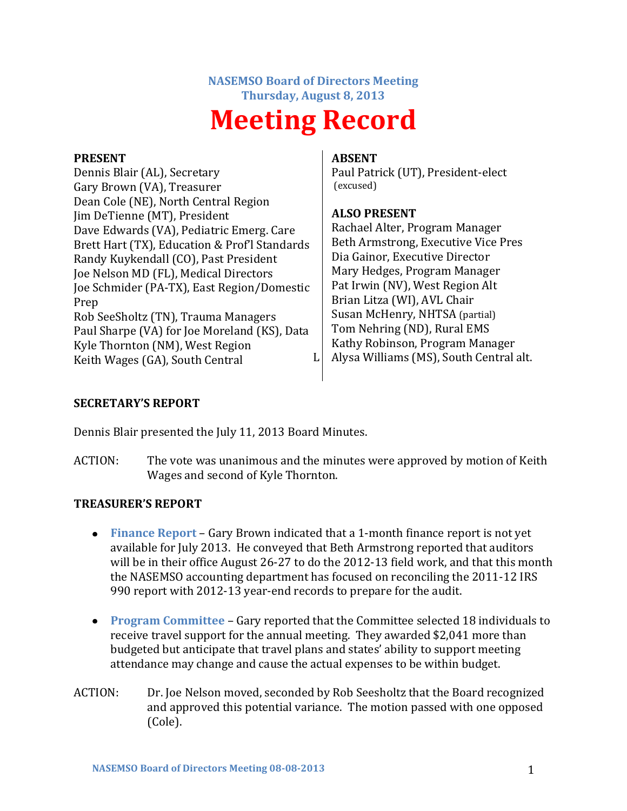#### **NASEMSO Board of Directors Meeting Thursday, August 8, 2013**

# **Meeting Record**

#### **PRESENT**

Dennis Blair (AL), Secretary Gary Brown (VA), Treasurer Dean Cole (NE), North Central Region Jim DeTienne (MT), President Dave Edwards (VA), Pediatric Emerg. Care Brett Hart (TX), Education & Prof'l Standards Randy Kuykendall (CO), Past President Joe Nelson MD (FL), Medical Directors Joe Schmider (PA-TX), East Region/Domestic Prep Rob SeeSholtz (TN), Trauma Managers Paul Sharpe (VA) for Joe Moreland (KS), Data Kyle Thornton (NM), West Region Keith Wages (GA), South Central

### **ABSENT**

Paul Patrick (UT), President-elect (excused)

# **ALSO PRESENT**

Rachael Alter, Program Manager Beth Armstrong, Executive Vice Pres Dia Gainor, Executive Director Mary Hedges, Program Manager Pat Irwin (NV), West Region Alt Brian Litza (WI), AVL Chair Susan McHenry, NHTSA (partial) Tom Nehring (ND), Rural EMS Kathy Robinson, Program Manager  $L$  Alysa Williams (MS), South Central alt.

## **SECRETARY'S REPORT**

Dennis Blair presented the July 11, 2013 Board Minutes.

ACTION: The vote was unanimous and the minutes were approved by motion of Keith Wages and second of Kyle Thornton.

# **TREASURER'S REPORT**

- **Finance Report** Gary Brown indicated that a 1-month finance report is not yet available for July 2013. He conveyed that Beth Armstrong reported that auditors will be in their office August 26-27 to do the 2012-13 field work, and that this month the NASEMSO accounting department has focused on reconciling the 2011-12 IRS 990 report with 2012-13 year-end records to prepare for the audit.
- **Program Committee** Gary reported that the Committee selected 18 individuals to receive travel support for the annual meeting. They awarded \$2,041 more than budgeted but anticipate that travel plans and states' ability to support meeting attendance may change and cause the actual expenses to be within budget.
- ACTION: Dr. Joe Nelson moved, seconded by Rob Seesholtz that the Board recognized and approved this potential variance. The motion passed with one opposed (Cole).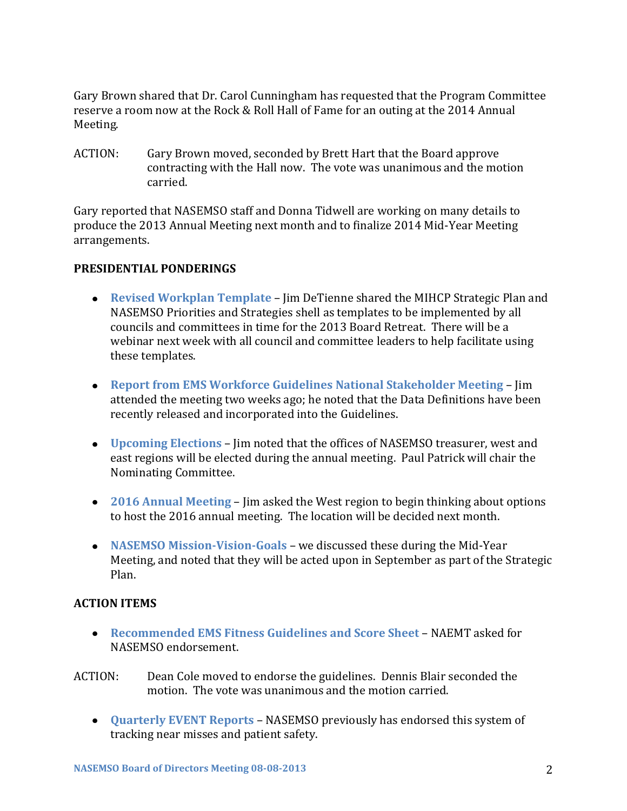Gary Brown shared that Dr. Carol Cunningham has requested that the Program Committee reserve a room now at the Rock & Roll Hall of Fame for an outing at the 2014 Annual Meeting.

ACTION: Gary Brown moved, seconded by Brett Hart that the Board approve contracting with the Hall now. The vote was unanimous and the motion carried.

Gary reported that NASEMSO staff and Donna Tidwell are working on many details to produce the 2013 Annual Meeting next month and to finalize 2014 Mid-Year Meeting arrangements.

## **PRESIDENTIAL PONDERINGS**

- **Revised Workplan Template** Jim DeTienne shared the MIHCP Strategic Plan and NASEMSO Priorities and Strategies shell as templates to be implemented by all councils and committees in time for the 2013 Board Retreat. There will be a webinar next week with all council and committee leaders to help facilitate using these templates.
- **Report from EMS Workforce Guidelines National Stakeholder Meeting** Jim attended the meeting two weeks ago; he noted that the Data Definitions have been recently released and incorporated into the Guidelines.
- **Upcoming Elections** Jim noted that the offices of NASEMSO treasurer, west and east regions will be elected during the annual meeting. Paul Patrick will chair the Nominating Committee.
- **2016 Annual Meeting** Jim asked the West region to begin thinking about options to host the 2016 annual meeting. The location will be decided next month.
- **NASEMSO Mission-Vision-Goals** we discussed these during the Mid-Year Meeting, and noted that they will be acted upon in September as part of the Strategic Plan.

# **ACTION ITEMS**

- **Recommended EMS Fitness Guidelines and Score Sheet** NAEMT asked for NASEMSO endorsement.
- ACTION: Dean Cole moved to endorse the guidelines. Dennis Blair seconded the motion. The vote was unanimous and the motion carried.
	- **Quarterly EVENT Reports** NASEMSO previously has endorsed this system of tracking near misses and patient safety.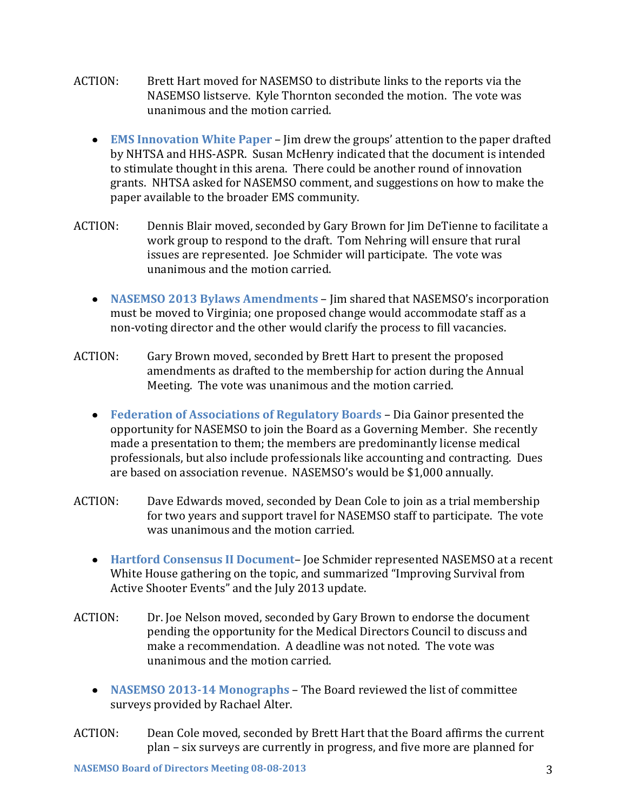- ACTION: Brett Hart moved for NASEMSO to distribute links to the reports via the NASEMSO listserve. Kyle Thornton seconded the motion. The vote was unanimous and the motion carried.
	- **EMS Innovation White Paper** Jim drew the groups' attention to the paper drafted by NHTSA and HHS-ASPR. Susan McHenry indicated that the document is intended to stimulate thought in this arena. There could be another round of innovation grants. NHTSA asked for NASEMSO comment, and suggestions on how to make the paper available to the broader EMS community.
- ACTION: Dennis Blair moved, seconded by Gary Brown for Jim DeTienne to facilitate a work group to respond to the draft. Tom Nehring will ensure that rural issues are represented. Joe Schmider will participate. The vote was unanimous and the motion carried.
	- **NASEMSO 2013 Bylaws Amendments** Jim shared that NASEMSO's incorporation must be moved to Virginia; one proposed change would accommodate staff as a non-voting director and the other would clarify the process to fill vacancies.
- ACTION: Gary Brown moved, seconded by Brett Hart to present the proposed amendments as drafted to the membership for action during the Annual Meeting. The vote was unanimous and the motion carried.
	- **Federation of Associations of Regulatory Boards** Dia Gainor presented the opportunity for NASEMSO to join the Board as a Governing Member. She recently made a presentation to them; the members are predominantly license medical professionals, but also include professionals like accounting and contracting. Dues are based on association revenue. NASEMSO's would be \$1,000 annually.
- ACTION: Dave Edwards moved, seconded by Dean Cole to join as a trial membership for two years and support travel for NASEMSO staff to participate. The vote was unanimous and the motion carried.
	- **Hartford Consensus II Document** Joe Schmider represented NASEMSO at a recent White House gathering on the topic, and summarized "Improving Survival from Active Shooter Events" and the July 2013 update.
- ACTION: Dr. Joe Nelson moved, seconded by Gary Brown to endorse the document pending the opportunity for the Medical Directors Council to discuss and make a recommendation. A deadline was not noted. The vote was unanimous and the motion carried.
	- **NASEMSO 2013-14 Monographs** The Board reviewed the list of committee surveys provided by Rachael Alter.
- ACTION: Dean Cole moved, seconded by Brett Hart that the Board affirms the current plan – six surveys are currently in progress, and five more are planned for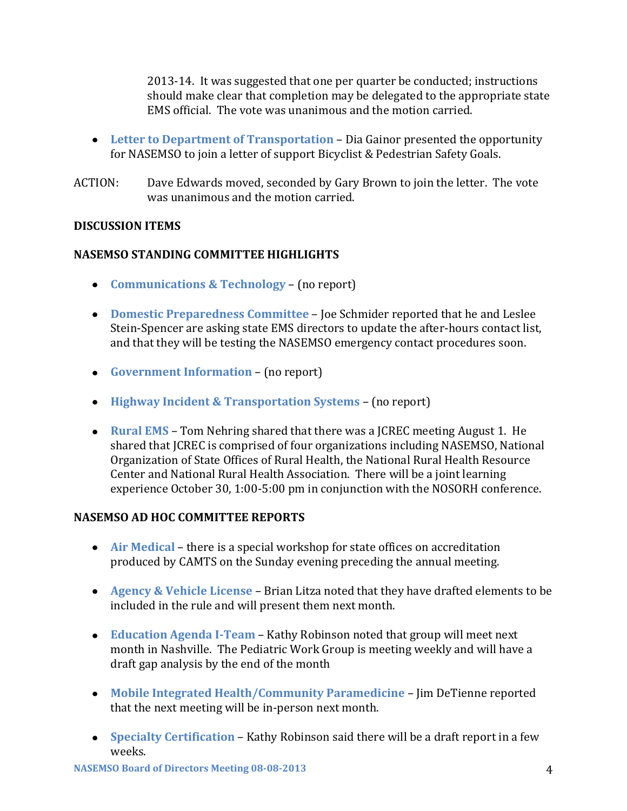2013-14. It was suggested that one per quarter be conducted; instructions should make clear that completion may be delegated to the appropriate state EMS official. The vote was unanimous and the motion carried.

- **Letter to Department of Transportation** Dia Gainor presented the opportunity for NASEMSO to join a letter of support Bicyclist & Pedestrian Safety Goals.
- ACTION: Dave Edwards moved, seconded by Gary Brown to join the letter. The vote was unanimous and the motion carried.

## **DISCUSSION ITEMS**

## **NASEMSO STANDING COMMITTEE HIGHLIGHTS**

- **Communications & Technology** (no report)
- **Domestic Preparedness Committee** Joe Schmider reported that he and Leslee Stein-Spencer are asking state EMS directors to update the after-hours contact list, and that they will be testing the NASEMSO emergency contact procedures soon.
- **Government Information** (no report)
- **Highway Incident & Transportation Systems** (no report)
- **Rural EMS** Tom Nehring shared that there was a JCREC meeting August 1. He shared that JCREC is comprised of four organizations including NASEMSO, National Organization of State Offices of Rural Health, the National Rural Health Resource Center and National Rural Health Association. There will be a joint learning experience October 30, 1:00-5:00 pm in conjunction with the NOSORH conference.

## **NASEMSO AD HOC COMMITTEE REPORTS**

- **Air Medical** there is a special workshop for state offices on accreditation produced by CAMTS on the Sunday evening preceding the annual meeting.
- **Agency & Vehicle License** Brian Litza noted that they have drafted elements to be included in the rule and will present them next month.
- **Education Agenda I-Team** Kathy Robinson noted that group will meet next month in Nashville. The Pediatric Work Group is meeting weekly and will have a draft gap analysis by the end of the month
- **Mobile Integrated Health/Community Paramedicine** Jim DeTienne reported that the next meeting will be in-person next month.
- **Specialty Certification** Kathy Robinson said there will be a draft report in a few weeks.